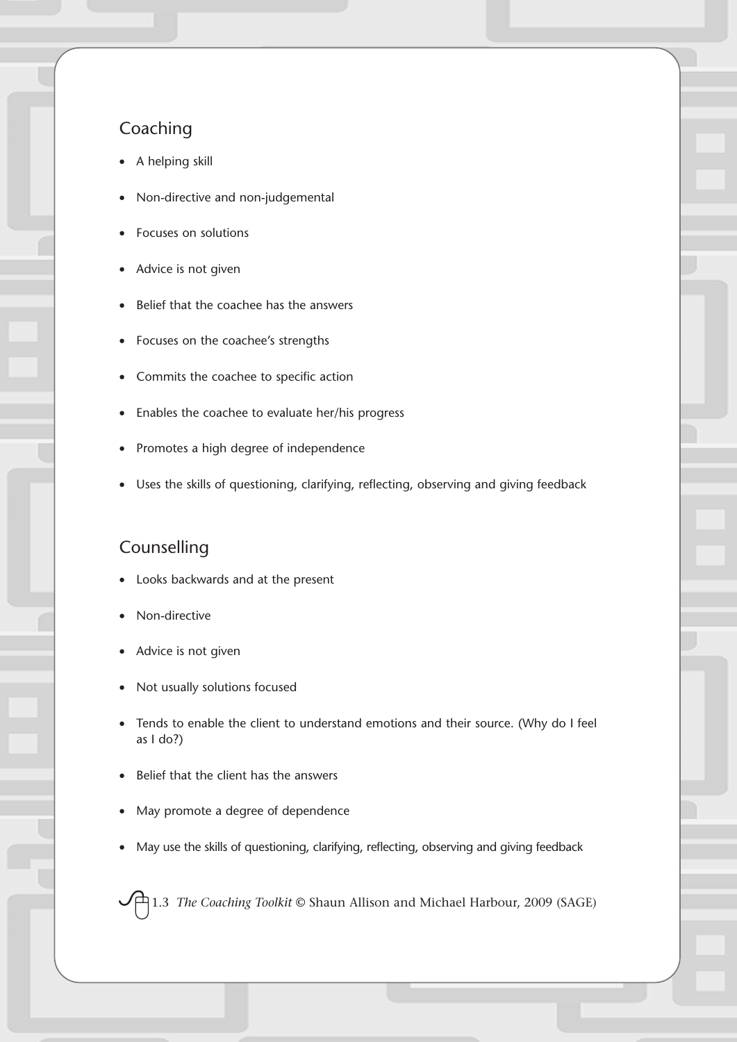## Coaching

- A helping skill
- Non-directive and non-judgemental
- Focuses on solutions
- Advice is not given
- Belief that the coachee has the answers
- Focuses on the coachee's strengths
- Commits the coachee to specific action
- Enables the coachee to evaluate her/his progress
- Promotes a high degree of independence
- Uses the skills of questioning, clarifying, reflecting, observing and giving feedback

## Counselling

- Looks backwards and at the present
- Non-directive
- Advice is not given
- Not usually solutions focused
- Tends to enable the client to understand emotions and their source. (Why do I feel as I do?)
- Belief that the client has the answers
- May promote a degree of dependence
- May use the skills of questioning, clarifying, reflecting, observing and giving feedback

1.3 *The Coaching Toolkit* © Shaun Allison and Michael Harbour, 2009 (SAGE)